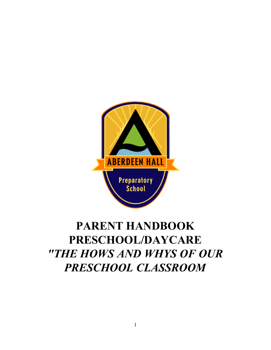

# **PARENT HANDBOOK PRESCHOOL/DAYCARE** *"THE HOWS AND WHYS OF OUR PRESCHOOL CLASSROOM*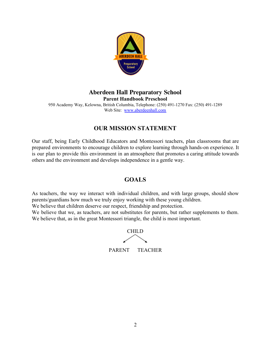

## **Aberdeen Hall Preparatory School Parent Handbook Preschool**

950 Academy Way, Kelowna, British Columbia, Telephone: (250) 491-1270 Fax: (250) 491-1289 Web Site: [www.aberdeenhall.com](http://www.aberdeenhall.com/)

# **OUR MISSION STATEMENT**

Our staff, being Early Childhood Educators and Montessori teachers, plan classrooms that are prepared environments to encourage children to explore learning through hands-on experience. It is our plan to provide this environment in an atmosphere that promotes a caring attitude towards others and the environment and develops independence in a gentle way.

## **GOALS**

As teachers, the way we interact with individual children, and with large groups, should show parents/guardians how much we truly enjoy working with these young children.

We believe that children deserve our respect, friendship and protection.

We believe that we, as teachers, are not substitutes for parents, but rather supplements to them. We believe that, as in the great Montessori triangle, the child is most important.

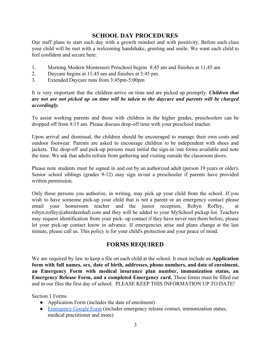## **SCHOOL DAY PROCEDURES**

Our staff plans to start each day with a growth mindset and with positivity. Before each class your child will be met with a welcoming handshake, greeting and smile. We want each child to feel confident and secure here.

- 1. Morning Modern Montessori Preschool begins 8:45 am and finishes at 11:45 am
- 2. Daycare begins at 11:45 am and finishes at 3:45 pm.
- 3. Extended Daycare runs from 3:45pm-5:00pm

It is very important that the children arrive on time and are picked up promptly. *Children that are not are not picked up on time will be taken to the daycare and parents will be charged accordingly.*

To assist working parents and those with children in the higher grades, preschoolers can be dropped off from 8:15 am. Please discuss drop-off time with your preschool teacher.

Upon arrival and dismissal, the children should be encouraged to manage their own coats and outdoor footwear. Parents are asked to encourage children to be independent with shoes and jackets. The drop-off and pick-up persons must initial the sign-in /out forms available and note the time. We ask that adults refrain from gathering and visiting outside the classroom doors.

Please note students must be signed in and out by an authorized adult (person 19 years or older). Senior school siblings (grades 9-12) may sign in/out a preschooler if parents have provided written permission.

Only those persons you authorize, in writing, may pick up your child from the school. If you wish to have someone pick-up your child that is not a parent or an emergency contact please email your homeroom teacher and the junior reception, Robyn Roffey, at robyn.roffey@aberdeenhall.com and they will be added to your MySchool pickup list. Teachers may request identification from your pick- up contact if they have never met them before, please let your pick-up contact know in advance. If emergencies arise and plans change at the last minute, please call us. This policy is for your child's protection and your peace of mind.

## **FORMS REQUIRED**

We are required by law to keep a file on each child at the school. It must include an **Application form with full names, sex, date of birth, addresses, phone numbers, and date of enrolment, an Emergency Form with medical insurance plan number, immunization status, an Emergency Release Form, and a completed Emergency card.** These forms must be filled out and in our files the first day of school. PLEASE KEEP THIS INFORMATION UP TO DATE!

Section 1 Forms

- Application Form (includes the date of enrolment)
- [Emergency Google Form](https://docs.google.com/forms/d/e/1FAIpQLSfiygzw7YA2qZRz7j0Ddos49_pbuuR1DSnL0YEfDu-hWh4rzA/viewform?usp=sf_link) (includes emergency release contact, immunization status, medical practitioner and more)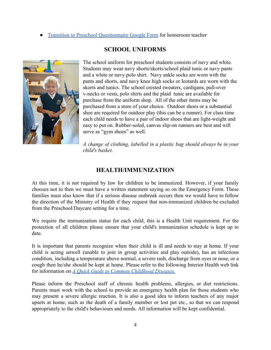**[Transition to Preschool Questionnaire Google Form](https://docs.google.com/forms/d/e/1FAIpQLSemhalNEzLva03WPXrh6sE7eLbLksDv9H0FgNi_UFLtxV9FEQ/viewform?usp=sf_link) for homeroom teacher** 



## **SCHOOL UNIFORMS**

The school uniform for preschool students consists of navy and white. Students may wear navy shorts/skorts/school plaid tunic or navy pants and a white or navy polo shirt. Navy ankle socks are worn with the pants and shorts, and navy knee high socks or leotards are worn with the skorts and tunics. The school crested sweaters, cardigans, pull-over v-necks or vests, polo shirts and the plaid tunic are available for purchase from the uniform shop. All of the other items may be purchased from a store of your choice. Outdoor shoes or a substantial shoe are required for outdoor play (this can be a runner). For class time each child needs to have a pair of indoor shoes that are light-weight and easy to put on. Rubber-soled, canvas slip-on runners are best and will serve as "gym shoes" as well.

*A change of clothing, labelled in a plastic bag should always be in your child's basket.*

## **HEALTH/IMMUNIZATION**

At this time, it is not required by law for children to be immunized. However, if your family chooses not to then we must have a written statement saying so on the Emergency Form. These families must also know that if a serious disease outbreak occurs then we would have to follow the direction of the Ministry of Health if they request that non-immunized children be excluded from the Preschool/Daycare setting for a time.

We require the immunization status for each child, this is a Health Unit requirement. For the protection of all children please ensure that your child's immunization schedule is kept up to date.

It is important that parents recognize when their child is ill and needs to stay at home. If your child is acting unwell (unable to join in group activities and play outside), has an infectious condition, including a temperature above normal, a severe rash, discharge from eyes or nose, or a cough then he/she should be kept at home. Please refer to the following Interior Health web link for information on *[A Quick Guide to Common Childhood Diseases.](http://www.health.gov.bc.ca/library/publications/year/2001/PHN144.pdf)*

Please inform the Preschool staff of chronic health problems, allergies, or diet restrictions. Parents must work with the school to provide an emergency health plan for those students who may present a severe allergic reaction. It is also a good idea to inform teachers of any major upsets at home, such as the death of a family member or lost pet etc., so that we can respond appropriately to the child's behaviours and needs. All information will be kept confidential.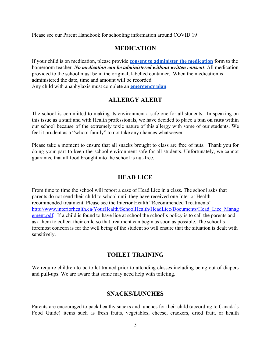Please see our Parent Handbook for schooling information around COVID 19

## **MEDICATION**

If your child is on medication, please provide **[consent to administer the medication](https://drive.google.com/file/d/1Fs4IUZzvym2XG3Cxub6Q9eN9gz777U7I/view?usp=sharing)** form to the homeroom teacher. *No medication can be administered without written consent.* All medication provided to the school must be in the original, labelled container. When the medication is administered the date, time and amount will be recorded. Any child with anaphylaxis must complete an **[emergency plan](https://drive.google.com/file/d/1L5s6tPu2DTKRkdgBHgYPQfIUwKG7PhfW/view)**.

## **ALLERGY ALERT**

The school is committed to making its environment a safe one for all students. In speaking on this issue as a staff and with Health professionals, we have decided to place a **ban on nuts** within our school because of the extremely toxic nature of this allergy with some of our students. We feel it prudent as a "school family" to not take any chances whatsoever.

Please take a moment to ensure that all snacks brought to class are free of nuts. Thank you for doing your part to keep the school environment safe for all students. Unfortunately, we cannot guarantee that all food brought into the school is nut-free.

## **HEAD LICE**

From time to time the school will report a case of Head Lice in a class. The school asks that parents do not send their child to school until they have received one Interior Health recommended treatment. Please see the Interior Health "Recommended Treatments" [http://www.interiorhealth.ca/YourHealth/SchoolHealth/HeadLice/Documents/Head\\_Lice\\_Manag](http://www.interiorhealth.ca/YourHealth/SchoolHealth/HeadLice/Documents/Head_Lice_Management.pdf) [ement.pdf](http://www.interiorhealth.ca/YourHealth/SchoolHealth/HeadLice/Documents/Head_Lice_Management.pdf). If a child is found to have lice at school the school's policy is to call the parents and ask them to collect their child so that treatment can begin as soon as possible. The school's foremost concern is for the well being of the student so will ensure that the situation is dealt with sensitively.

## **TOILET TRAINING**

We require children to be toilet trained prior to attending classes including being out of diapers and pull-ups. We are aware that some may need help with toileting.

## **SNACKS/LUNCHES**

Parents are encouraged to pack healthy snacks and lunches for their child (according to Canada's Food Guide) items such as fresh fruits, vegetables, cheese, crackers, dried fruit, or health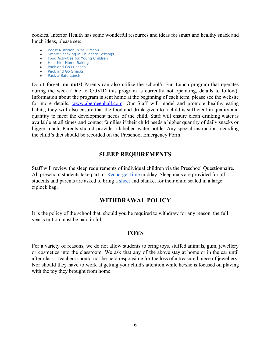cookies. Interior Health has some wonderful resources and ideas for smart and healthy snack and lunch ideas, please see:

- **Boost [Nutrition](https://www.interiorhealth.ca/YourEnvironment/ChildCareFacilities/Documents/FS-Boost%20Nutrition%20in%20Your%20Menu.pdf) in Your Menu**
- Smart Snacking in [Childcare](https://www.interiorhealth.ca/YourEnvironment/ChildCareFacilities/Documents/FS-Smart%20Snacking%20in%20Child%20Care%20Settings.pdf) Settings
- Food [Activities](https://www.interiorhealth.ca/YourEnvironment/ChildCareFacilities/Documents/FS-Food%20Activities%20for%20Young%20Children.pdf) for Young Children
- [Healthier](https://www.interiorhealth.ca/YourEnvironment/ChildCareFacilities/Documents/Healthier%20Home%20Baking.pdf) Home Baking
- Pack and Go [Lunches](https://www.interiorhealth.ca/YourEnvironment/ChildCareFacilities/Documents/FS-Pack%20and%20Go%20Lunches.pdf)
- Pack and Go [Snacks](https://www.interiorhealth.ca/YourEnvironment/ChildCareFacilities/Documents/FS-Pack%20and%20Go%20Snacks.pdf) ● Pack a Safe [Lunch](https://www.interiorhealth.ca/YourEnvironment/ChildCareFacilities/Documents/FS-Pack%20a%20Safe%20Lunch.pdf)

Don't forget, **no nuts!** Parents can also utilize the school's Fun Lunch program that operates during the week (Due to COVID this program is currently not operating, details to follow). Information about the program is sent home at the beginning of each term, please see the website for more details, [www.aberdeenhall.com.](http://www.aberdeenhall.com/) Our Staff will model and promote healthy eating habits, they will also ensure that the food and drink given to a child is sufficient in quality and quantity to meet the development needs of the child. Staff will ensure clean drinking water is available at all times and contact families if their child needs a higher quantity of daily snacks or bigger lunch. Parents should provide a labelled water bottle. Any special instruction regarding the child's diet should be recorded on the Preschool Emergency Form.

## **SLEEP REQUIREMENTS**

Staff will review the sleep requirements of individual children via the Preschool Questionnaire. All preschool students take part in [Recharge Time](https://docs.google.com/document/d/1MCa4Lxufrji7GgQjv9GV6b4EJRxObtlxmRRpTfSesGY/edit) midday. Sleep mats are provided for all students and parents are asked to bring a [sheet](https://www.bedbathandbeyond.ca/store/product/halo-dreamnest-fitted-cotton-sheet-in-star-print/5291270?keyword=cot-sheet) and blanket for their child sealed in a large ziplock bag.

## **WITHDRAWAL POLICY**

It is the policy of the school that, should you be required to withdraw for any reason, the full year's tuition must be paid in full.

#### **TOYS**

For a variety of reasons, we do not allow students to bring toys, stuffed animals, gum, jewellery or cosmetics into the classroom. We ask that any of the above stay at home or in the car until after class. Teachers should not be held responsible for the loss of a treasured piece of jewellery. Nor should they have to work at getting your child's attention while he/she is focused on playing with the toy they brought from home.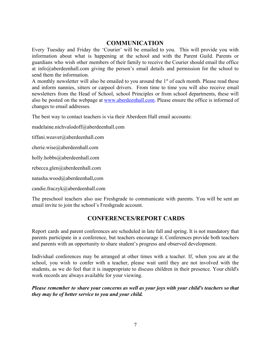## **COMMUNICATION**

Every Tuesday and Friday the 'Courier' will be emailed to you. This will provide you with information about what is happening at the school and with the Parent Guild. Parents or guardians who wish other members of their family to receive the Courier should email the office at [info@aberdeenhall.com](mailto:info@aberdeenhall.com) giving the person's email details and permission for the school to send them the information.

A monthly newsletter will also be emailed to you around the  $1<sup>st</sup>$  of each month. Please read these and inform nannies, sitters or carpool drivers. From time to time you will also receive email newsletters from the Head of School, school Principles or from school departments, these will also be posted on the webpage at [www.aberdeenhall.com.](http://www.aberdeenhall.com/) Please ensure the office is informed of changes to email addresses.

The best way to contact teachers is via their Aberdeen Hall email accounts:

madelaine.nichvalodoff@aberdeenhall.com

tiffani.weaver@aberdeenhall.com

cherie.wise@aberdeenhall.com

holly.hobbs@aberdeenhall.com

rebecca.glen@aberdeenhall.com

natasha.wood@aberdeenhall,com

candie.fraczyk@aberdeenhall.com

The preschool teachers also use Freshgrade to communicate with parents. You will be sent an email invite to join the school's Freshgrade account.

## **CONFERENCES/REPORT CARDS**

Report cards and parent conferences are scheduled in late fall and spring. It is not mandatory that parents participate in a conference, but teachers encourage it. Conferences provide both teachers and parents with an opportunity to share student's progress and observed development.

Individual conferences may be arranged at other times with a teacher. If, when you are at the school, you wish to confer with a teacher, please wait until they are not involved with the students, as we do feel that it is inappropriate to discuss children in their presence. Your child's work records are always available for your viewing.

#### *Please remember to share your concerns as well as your joys with your child's teachers so that they may be of better service to you and your child.*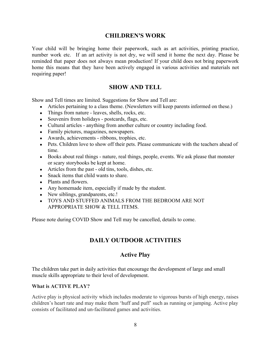## **CHILDREN'S WORK**

Your child will be bringing home their paperwork, such as art activities, printing practice, number work etc. If an art activity is not dry, we will send it home the next day. Please be reminded that paper does not always mean production! If your child does not bring paperwork home this means that they have been actively engaged in various activities and materials not requiring paper!

## **SHOW AND TELL**

Show and Tell times are limited. Suggestions for Show and Tell are:

- Articles pertaining to a class theme. (Newsletters will keep parents informed on these.)
- Things from nature leaves, shells, rocks, etc.
- Souvenirs from holidays postcards, flags, etc.
- Cultural articles anything from another culture or country including food.
- Family pictures, magazines, newspapers.
- Awards, achievements ribbons, trophies, etc.
- Pets. Children love to show off their pets. Please communicate with the teachers ahead of time.
- Books about real things nature, real things, people, events. We ask please that monster or scary storybooks be kept at home.
- Articles from the past old tins, tools, dishes, etc.
- Snack items that child wants to share.
- Plants and flowers.
- Any homemade item, especially if made by the student.
- New siblings, grandparents, etc.!
- TOYS AND STUFFED ANIMALS FROM THE BEDROOM ARE NOT APPROPRIATE SHOW & TELL ITEMS.

Please note during COVID Show and Tell may be cancelled, details to come.

# **DAILY OUTDOOR ACTIVITIES**

## **Active Play**

The children take part in daily activities that encourage the development of large and small muscle skills appropriate to their level of development.

#### **What is ACTIVE PLAY?**

Active play is physical activity which includes moderate to vigorous bursts of high energy, raises children's heart rate and may make them 'huff and puff' such as running or jumping. Active play consists of facilitated and un-facilitated games and activities.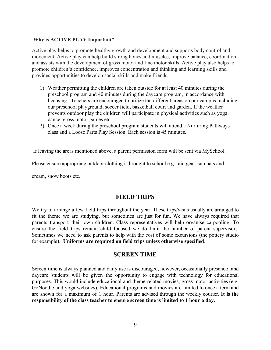#### **Why is ACTIVE PLAY Important?**

Active play helps to promote healthy growth and development and supports body control and movement. Active play can help build strong bones and muscles, improve balance, coordination and assists with the development of gross motor and fine motor skills. Active play also helps to promote children's confidence, improves concentration and thinking and learning skills and provides opportunities to develop social skills and make friends.

- 1) Weather permitting the children are taken outside for at least 40 minutes during the preschool program and 40 minutes during the daycare program, in accordance with licensing. Teachers are encouraged to utilize the different areas on our campus including our preschool playground, soccer field, basketball court and garden. If the weather prevents outdoor play the children will participate in physical activities such as yoga, dance, gross motor games etc.
- 2) Once a week during the preschool program students will attend a Nurturing Pathways class and a Loose Parts Play Session. Each session is 45 minutes.

If leaving the areas mentioned above, a parent permission form will be sent via MySchool.

Please ensure appropriate outdoor clothing is brought to school e.g. rain gear, sun hats and

cream, snow boots etc.

#### **FIELD TRIPS**

We try to arrange a few field trips throughout the year. These trips/visits usually are arranged to fit the theme we are studying, but sometimes are just for fun. We have always required that parents transport their own children. Class representatives will help organise carpooling. To ensure the field trips remain child focused we do limit the number of parent supervisors. Sometimes we need to ask parents to help with the cost of some excursions (the pottery studio for example). **Uniforms are required on field trips unless otherwise specified**.

#### **SCREEN TIME**

Screen time is always planned and daily use is discouraged, however, occasionally preschool and daycare students will be given the opportunity to engage with technology for educational purposes. This would include educational and theme related movies, gross motor activities (e.g. GoNoodle and yoga websites). Educational programs and movies are limited to once a term and are shown for a maximum of 1 hour. Parents are advised through the weekly courier. **It is the responsibility of the class teacher to ensure screen time is limited to 1 hour a day.**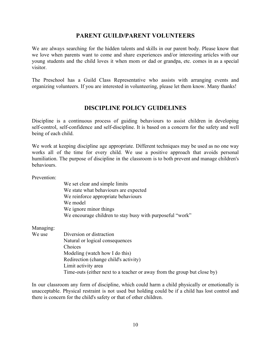## **PARENT GUILD/PARENT VOLUNTEERS**

We are always searching for the hidden talents and skills in our parent body. Please know that we love when parents want to come and share experiences and/or interesting articles with our young students and the child loves it when mom or dad or grandpa, etc. comes in as a special visitor.

The Preschool has a Guild Class Representative who assists with arranging events and organizing volunteers. If you are interested in volunteering, please let them know. Many thanks!

## **DISCIPLINE POLICY GUIDELINES**

Discipline is a continuous process of guiding behaviours to assist children in developing self-control, self-confidence and self-discipline. It is based on a concern for the safety and well being of each child.

We work at keeping discipline age appropriate. Different techniques may be used as no one way works all of the time for every child. We use a positive approach that avoids personal humiliation. The purpose of discipline in the classroom is to both prevent and manage children's behaviours.

Prevention:

We set clear and simple limits We state what behaviours are expected We reinforce appropriate behaviours We model We ignore minor things We encourage children to stay busy with purposeful "work"

Managing:

We use Diversion or distraction Natural or logical consequences Choices Modeling (watch how I do this) Redirection (change child's activity) Limit activity area Time-outs (either next to a teacher or away from the group but close by)

In our classroom any form of discipline, which could harm a child physically or emotionally is unacceptable. Physical restraint is not used but holding could be if a child has lost control and there is concern for the child's safety or that of other children.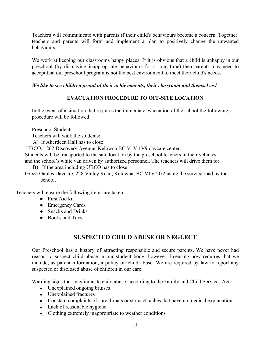Teachers will communicate with parents if their child's behaviours become a concern. Together, teachers and parents will form and implement a plan to positively change the unwanted behaviours.

We work at keeping our classrooms happy places. If it is obvious that a child is unhappy in our preschool (by displaying inappropriate behaviours for a long time) then parents may need to accept that our preschool program is not the best environment to meet their child's needs.

## *We like to see children proud of their achievements, their classroom and themselves!*

## **EVACUATION PROCEDURE TO OFF-SITE LOCATION**

In the event of a situation that requires the immediate evacuation of the school the following procedure will be followed:

Preschool Students:

Teachers will walk the students:

A) If Aberdeen Hall has to close:

UBCO, 1262 Discovery Avenue, Kelowna BC V1V 1V9 daycare center.

Students will be transported to the safe location by the preschool teachers in their vehicles and the school's white van driven by authorized personnel. The teachers will drive them to:

B) If the area including UBCO has to close:

Green Gables Daycare, 228 Valley Road, Kelowna, BC V1V 2G2 using the service road by the school.

Teachers will ensure the following items are taken:

- First Aid kit
- Emergency Cards
- Snacks and Drinks
- Books and Toys

# **SUSPECTED CHILD ABUSE OR NEGLECT**

Our Preschool has a history of attracting responsible and secure parents. We have never had reason to suspect child abuse in our student body; however, licensing now requires that we include, as parent information, a policy on child abuse. We are required by law to report any suspected or disclosed abuse of children in our care.

Warning signs that may indicate child abuse, according to the Family and Child Services Act:

- Unexplained ongoing bruises
- Unexplained fractures
- Constant complaints of sore throats or stomach aches that have no medical explanation
- Lack of reasonable hygiene
- Clothing extremely inappropriate to weather conditions